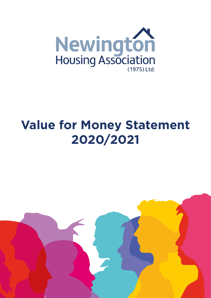

# **Value for Money Statement 2020/2021**

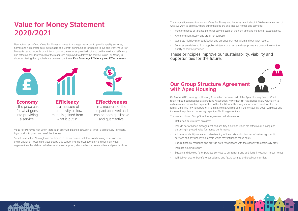## **Value for Money Statement 2020/2021**

Newington has defined Value For Money as a way to manage resources to provide quality services, homes and help create safe, sustainable and vibrant communities for people to live and work. Value For Money is based not only on minimum cost of the services provided but also on the maximum efficiency and effectiveness (outcomes) of the resources employed to deliver the service. Value For Money is about achieving the right balance between the three **'E's**'- **Economy, Efficiency and Effectiveness**.





Value For Money is high when there is an optimum balance between all three 'E's'; relatively low costs, high productivity and successful outcomes.

Social value within Newington is not limited to the outcomes that flow from housing assets or from the provision of housing services but by also supporting the local economy and community led organisations that deliver valuable service and support, which enhance communities and people's lives. The Association wants to maintain Value For Money and be transparent about it. We have a clear aim of



what we want to achieve, where our principles are and that our homes and services:

- Meet the needs of tenants and other service users at the right time and meet their expectations,
- Are of the right quality and are fit for purpose,
- Generate high levels of satisfaction and enhance our reputation and our track record,
- Services are delivered from suppliers (internal or external) whose prices are competitive for the quality of service provided.



**Effectiveness** 

**Efficiency** is a measure of productivity or how much is gained from what is put in.

These principles improve our sustainability, viability and opportunities for the future.

### **Our Group Structure Agreement with Apex Housing**

On 6 April 2015, Newington Housing Association became part of the Apex Housing Group. Whilst retaining its independence as a Housing Association, Newington HA has aligned itself, voluntarily, to a dynamic and innovative organisation within the NI social housing sector, which is a driver for the formation of this new joint partnership initiative that will realise efficiency savings, boost surpluses and increase the potential borrowing capacity of both organisations.

The new combined Group Structure Agreement will allow us to:

- Optimise future returns on assets
- Include performance management and scrutiny functions which are effective at driving and delivering improved value for money performance
- Allow us to identify a clearer understanding of the costs and outcomes of delivering specific services and any underlying factors which may influence these costs
- Ensure financial resilience and provide both Associations with the capacity to continually grow
- Increase housing supply
- 
- Will deliver greater benefit to our existing and future tenants and local communities.



• Sustain and develop fit for purpose services to our tenants and additional investment in our homes



Economy is the price paid for what goes into providing a service.

is a measure of the impact achieved and can be both qualitative and quantitative.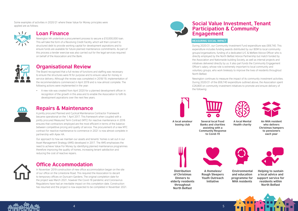Some examples of activities in 2020/21 where these Value for Money principles were applied are as follows;



#### **Loan Finance**

Newington HA undertook a procurement process to secure a £10,000,000 loan. This will take the form of a Revolving Credit Facility, which will then convert to structured debt to provide working capital for development aspirations and to ensure funds are available for future planned maintenance commitments. As part of this process a tender exercise was also carried out for the legal services required on behalf of the Association and the Bank.



### **Organisational Review**

The Board recognised that a full review of functions and staffing was necessary to ensure the structures were fit for purpose and to ensure value for money in service delivery. Although the review was completed in 2018/19, implementation of the recommendations commenced in April 2019 and is now almost complete. The following actions were implemented in the year:

• A new role was created from April 2020 for a planned development officer in recognition of the growth in this area and to enable the Association to fulfil its development aspirations over the next few years.



#### **Repairs & Maintenance**

A jointly procured Planned and Cyclical Maintenance Contractor Framework became operational on the 1 April 2017. This framework when coupled with a jointly procured Measured Term Contract (MTC) for reactive maintenance in 2016 ensures that contractors employed are the most efficient in terms of the balance between competitive pricing and quality of service. The procurement of a new MTC contract for reactive maintenance to commence in 2021 is now almost complete in partnership with Apex HA.

Our approach to how we maintain our assets and tenants' homes is set out in our Asset Management Strategy (AMS) developed in 2017. The AMS emphasises the need to achieve Value For Money by identifying planned maintenance programmes therefore improving the quality of homes, increasing tenant satisfaction and reducing the cost of reactive repairs.



### **Office Accommodation**

In November 2019 construction of new office accommodation began on the site of our office on the Limestone Road. This required the Association to decant to temporary offices on Duncairn Gardens. The original completion date for the project was March 2021, however the Covid-19 pandemic and Coronavirus Regulations have had an inevitable impact on this completion date. Construction has resumed and the project is now expected to be completed in November 2021.



#### **Social Value Investment, Tenant Participation & Community Engagement**

#### **MEASURING SOCIAL IMPACT**

During 2020/21, our Community Investment Fund expenditure was £69,740. This expenditure includes funding awards distributed by our BOM to local community groups/organisations, funding of a dedicated U/C & Welfare Advice Officer who is directly employed by the North Belfast Advice Partnership but match funded by the Association and Nationwide building Society, as well as internal projects and initiatives delivered directly by us. It also part funds the Community Engagement Officer's salary, whose role is extremely important to local community and voluntary groups, who work tirelessly to improve the lives of residents throughout North Belfast.

Newington continues to measure the impact of its community investment activities. During 2020/21 of the £69,740 expenditure outlined above, the Association spent £26,800 on community investment initiatives to promote and ensure delivery of the following:





**A local amateur boxing club**



**of Christmas Dinners to elderly residents throughout North Belfast**

 **A Homeless/ Rough Sleepers Youth Outreach Initiative**





 **Environmental and education programme for NHA residents**



**Helping to sustain a local advice and support service for residents within North Belfast**





**A local Mental Health charity**



**An NHA resident who delivers Christmas hampers to pensioners each year**

**Several local Food Banks and charities assisting with a Community Response to Covid-19**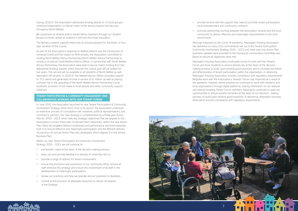



During 2020/21 the Association distributed funding awards to 15 local groups/ initiatives/organisations to deliver many of the above projects and services throughout North Belfast.

We supported six tenants and/or tenant family members through our Student Bursary Scheme, aimed at students in full-time third level education.

The Bursary scheme supports them with an annual payment for the three- or fouryear duration of the course.

As part of the Association's response to Welfare Reform and the introduction of Universal Credit and the impact on NHA tenants, the Association committed to funding North Belfast Advice Partnership (North Belfast Advice Partnership) to employ a Universal Credit/Welfare Advice Officer. In partnership with North Belfast Advice Partnership, the Association were able to secure match funding from the Nationwide Building Society, which ensures this critical post will be funded for two years. This service will be available to all residents of North Belfast as well Newington HA tenants. In 2020/21 the Welfare Advice Officer provided support to 372 clients and generated income in excess of £1 million: as well as playing a pivotal role in the upscaling of the North Belfast Advice Partnership's local foodbank, provision of hot meals to local people and other community support initiatives.

#### **TENANT PARTICIPATION & COMMUNITY ENGAGEMENT AND COLLABORATIVE WORKING WITH OUR TENANT FORUM**

In June 2020, the Association launched its new Tenant Participation & Community Involvement Strategy 2020-2023. Prior to its launch, the Association undertook an extensive process of consultation with residents, political representatives, and communi ty partners. Our new Strategy is complimented by a three-year Action Plan for 2020 – 2023, which sets key strategic objectives that are aligned to the Association's current three-year Corporate Plan's objectives. Within the new Action Plan, there are targeted delivery timeframes and performance outcome measures built in to ensure effective and meaningful participation and the efficient delivery of practices. An annual Action Plan was developed, which aligned it to the annual Business Plan.

Within our new Tenant Participation & Community Involvement Strategy 2020 – 2023, we will continue to:

- put tenants' views at the heart of the decision-making process,
- listen, act and provide feedback to tenants on what they tell us,
- provide a range of options for tenant involvement,
- ensure the promotion and expression of our community ethos, ensure all staff embrace this strategy and ensure the involvement of all staff in the development of meaningful participation,
- review our practices and how we operate and act positively to feedback,
- commit to the provision of adequate resources to deliver all aspects of the Strategy,

• provide tenants with the support they need to promote tenant participation,

- local empowerment and community cohesion,
- environment

• promote partnership working between the Association, tenants and the local community to deliver effective and meaningful improvements to the local

Although impacted by the Covid-19 pandemic, Newington Housing Association has delivered on many of its commitments set out in the Tenant Participation Community Involvement Strategy 2020 – 2023 and initial year-one Action Plan. Quarterly updates were provided to the Housing & Communities Committee and Board to ensure all objectives were met.

Newington Housing Association continually strives to work with the Tenants Forum and local residents to ensure tenants are at the heart of the decision making process, to build upon existing good practices and to increase the extent and effectiveness of tenant participation within the organisation. In delivering, Newington Housing Association ensures compliance with regulatory requirements. Bespoke work with the Association's Tenants' Forum was impacted as a result of the pandemic however where possible we continued to work with residents and local organisations through digital platforms, sharing information on our website and directly emailing Tenant Forum members. Newington continued to seek out opportunities to ensure tenants remained at the heart of our decision - making process, to build upon existing good practices. In delivering, Newington Housing Association ensures compliance with regulatory requirements.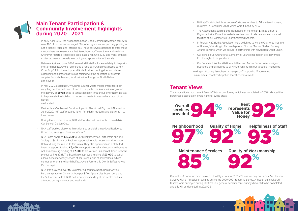

#### **Main Tenant Participation & Community Involvement highlights during 2020 - 2021**

- In early April 2020, the Association began Good Morning Newington calls with over 190 of our households aged 60+, offering advice, support, signposting or just a friendly voice and listening ear. These calls were designed to offer those most vulnerable reassurance that Association staff were there and available whenever required. These calls took place until June 2020 and many of those contacted were extremely welcoming and appreciative of the calls.
- Between April and June 2020, several NHA staff volunteered daily to help with the North Belfast Advice Partnership's Food Bank, which was based at Holy Cross Boys' School in Ardoyne. NHA staff helped put together and deliver essential food hampers as well as helping with the collection of essential supplies from wholesalers, for distribution throughout North Belfast and beyond
- In May 2020, as Belfast City Council Council waste management facilities/ recycling centres had been closed to the public, the Association organised the delivery of **seven** skips to various location throughout lower North Belfast, to help elevate the build-up of household waste in areas where most of our homes

are located.

• In February 2021, the Association were delighted to win the Chartered Institute of Housing's 'Working in Partnership Award' for our 'Annual Student Bursary Awards Scheme' which we deliver in partnership with Newington Credit Union.

- Residents at Camberwell Court took part in The Virtual Big Lunch NI event in June 2020. NHA staff prepared lunch for elderly residents and delivered it to their homes.
- During the summer months, NHA staff worked with residents to re-establish Camberwell Golden Club.
- NHA staff worked closely with residents to establish a new local Residents' Group (i.e., Newington Residents Group).
- NHA Board awarded **£10,250** to North Belfast Advice Partnership and The Society of St Vincent de Paul to support vulnerable households throughout Belfast during the run up to Christmas. They also approved and distributed financial support totaling **£6,400** to support internal and external initiatives as well as approving funding of **£7,000** to deliver our Camberwell Court Grow NI project during 2021. The Board also approved funding of **£3,000** to sustain a local benefit advisory service at Tar Isteach, one of several local advice centres who form the North Belfast Advice Partnership (North Belfast Advice Partnership).
- NHA staff provided over **90** volunteering hours to North Belfast Advice Partnership at their Christmas Hamper & Toy Appeal distribution centre at the SSE Arena, Belfast. NHA had representation daily at the centre and staff attended during evenings and weekends.

• NHA staff distributed three course Christmas lunches to **70** sheltered housing residents in December 2020, which were funded by NHA.

• The Association acquired external funding of more than **£11k** to deliver a Digital Inclusion Project for elderly residents and to also enhance communal facilities at our Camberwell Court Sheltered Scheme.

• Our Scheme Co-Ordinator at Camberwell Court remained on site daily (Mon. –

- 
- 
- 
- Fri.) throughout the pandemic.
- 

• Our Summer & Winter 2020 Newsletters and Annual Report were designed, published and distributed to all NHA tenants within our targeted timeframes.



Newington Housing Association is also part of Supporting/Empowering Communities Tenant Participation Practitioners Network.

#### **Tenant Views**

The Association's most recent Tenants' Satisfaction Survey, which was completed in 2018 indicated the percentage satisfaction levels in the following areas:

One of the Association main Business Plan Objectives for 2020/21 was to carry out Tenant Satisfaction Surveys with all Association tenants during the 2020/2021 reporting period. Although our sheltered tenants were surveyed during 2020/21, our general needs tenants surveys have still to be completed and this will be done during 2021/22.



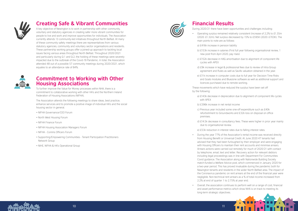

### **Creating Safe & Vibrant Communities**

A key objective of Newington is to work in partnership with other community, voluntary and statutory agencies in creating safer more vibrant communities for people to live and work and improve opportunities for individuals. The Association currently attends 13 community-led initiatives throughout North Belfast. At many of these community safety meetings there are representatives from various statutory agencies, community and voluntary sector organisations and residents. These partnership working groups offer a joined-up approach to tackling local issues facing various areas throughout North Belfast. Throughout 2020/2021 and particularly during Q.1 and Q.2, the holding of these meetings were severely impacted due to the outbreak of the Covid-19 Pandemic. In total, the Association attended 48 out of a possible 57 community meetings during 2020/2021, which equates to an attendance rate of 84%.



#### **Commitment to Working with Other Housing Associations**

To further improve the Value for Money processes within NHA, there is a commitment to collaborative working with other HA's and the Northern Ireland Federation of Housing Associations (NIFHA).

The Association attends the following meetings to share ideas, best practice, enhance services and to promote a positive image of individual HA's and the social housing sector in general.

- NIFHA Governance/CEO Forum
- North West Housing Forum
- NIFHA Finance Forum
- NIFHA Housing Association Managers Forum
- NIFHA Comms Officers Forum
- Supporting/Empowering Communities Tenant Participation Practitioners Network Group
- NIHE, NIFHA & HA's Operational Group



### **Financial Results**

During 2020/21 there have been opportunities and challenges including:

• Operating surplus remained relatively consistent (increase of 2.2% to £1.35m (2020: £1.32m). Net surplus decreased by 15% to £595K (2020: £703K). The

b) £153k increase in salaries (First full year following organisational review, 1

c) £152k decrease in HAG amortisation due to alignment of component life

d) £9k increase in legal & professional fees due to review of Intra Group agreement and Rules as well as Savills valuation obtained in the year.

e) £11k increase in computer costs due to full year for Decision Time Risks and Goals modules and Bluezone software as well as additional support and

These movements which have reduced the surplus have been set off

a) £143k decrease in depreciation due to alignment of component life cycles

c) Previous year included some one-off expenditure such as £40k

refurbishment to Groundworks and £32k loss on disposal on office

d) £14.5k decrease in consultancy fees. These were higher in prior year mainly

e) £53k reduction in interest rates due to falling interest rates.

- main points to note are as follows:
- a) £416k increase in pension liability
- new post from April 2020, pay rises)
- cycles with APEX
- 
- licences purchased due to remote working.
- by the following:
	- with APEX
	- b) £396k increase in net rental income
	- premises.
	- due to organisational review.
	-
	- 2.2% at end of quarter 1 to 2.75% at year end.
	- long-term strategic objectives.



• During the year 77% of the Association's rental income was received directly from Housing Benefit or Universal Credit. At June 2020 47 tenants had advised that they had been furloughed by their employer and were engaging with Housing Officers to maintain their rent accounts and minimise arrears. Arrears actions were carried out remotely for much of 2020/21 with contact by telephone, email, text and letter. Recovery action for relevant debtors including legal proceedings was in line with Department For Communities Covid guidance. The Association along with Nationwide Building Society match-funded a Welfare Advice post, which commenced in January 2020 for a two-year period. This has proved invaluable during the pandemic both for Newington tenants and residents in the wider North Belfast area. The impact of the Coronavirus pandemic on rent arrears at the end of the financial year were negligible. Non-technical rent arrears as a % of total income increased from

• Overall, the association continues to perform well on a range of cost, financial and asset performance metrics which show NHA is on track to meeting its

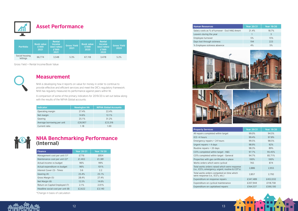

## **Asset Performance**

#### **Measurement**

NHA is developing how it reports on value for money in order to continue to provide effective and efficient services and meet the DfC's regulatory framework. NHA has regularly measured its performance against peers within NI.

#### **202 NHA Benchmarking Performance (Internal)**

A comparison of some of the primary indicators for 2019/20 is set out below along with the results of the NIFHA Global accounts:

| <b>Portfolio</b>           | <b>Book value</b><br>£'000<br>2021 | Rental<br><b>Income</b><br>(excl rates)<br>£'000<br>2021 | <b>Gross Yield</b><br>2021 | <b>Book value</b><br>£'000<br>2020 | Rental<br><b>Income</b><br>(excl rates)<br>£'000<br>2020 | <b>Gross Yield</b> '<br>2020 |
|----------------------------|------------------------------------|----------------------------------------------------------|----------------------------|------------------------------------|----------------------------------------------------------|------------------------------|
| Social housing<br>lettings | 66.774                             | 3.548                                                    | 5.3%                       | 67.118                             | 3.478                                                    | 5.2%                         |

| <b>Indicator</b>           | <b>Newington HA</b> | <b>NIFHA Global Accounts</b> |
|----------------------------|---------------------|------------------------------|
| Operating margin           | 27.4%               | 22.4%                        |
| Net margin                 | 14.6%               | 12.1%                        |
| Gearing                    | 25.1%               | 31.2%                        |
| Average borrowing per unit | £26,907             | £23,316                      |
| Current ratio              | 1.18                | 1.00                         |

Gross Yield = Rental Income/Book Value



| <b>Finance</b>                    | <b>Year 20/21</b> | <b>Year 19/20</b> |
|-----------------------------------|-------------------|-------------------|
| Management cost per unit (1)*     | £776              | £854              |
| Maintenance cost per unit (2)*    | £1,402            | £1,381            |
| Actual income vs budget           | 96%               | 99%               |
| Actual expenditure vs budget      | 96%               | 101%              |
| Interest Cover (3) - Times        | 3.6               | 2.2               |
| Gearing (4)                       | 25.4%             | 25.1%             |
| Gross Margin (5)                  | 28.4%             | 27.4%             |
| Net Margin (6)                    | 12.5%             | 14.6%             |
| Return on Capital Employed (7)    | 2.1%              | 2.01%             |
| Headline social cost per unit (8) | £2,622            | £3,140            |
|                                   |                   |                   |

\*Change in basis of calculation





Salary costs as % of turnover - I Leavers during the year Employee turnover Days lost through sickness % Employee sickness absence



#### **Property Services** All repairs completed within target  $ICO < 4$  hours Emergency repairs  $<$  24 hours Urgent repairs  $<$  4 days Routine repairs  $<$  20 days COTs completed within target -COTs completed within target -Properties with gas certificates Works orders which were cyclical Total works orders raised which (i.e., ICO's, emergency, urgent, routine & Total works orders competed or were response (i.e., ICO's, etc.) Expenditure on response repair Expenditure on cyclical mainten Expenditure on capitalised repa

|                       | <b>Year 20/21</b> | <b>Year 19/20</b> |
|-----------------------|-------------------|-------------------|
| <b>Excl HAG Amort</b> | 21.4%             | 18.7%             |
|                       |                   | 3                 |
|                       | 5%                | 15%               |
|                       | 194               | 223               |
|                       | 4%                | 5%                |





|                                   | <b>Year 20/21</b> | <b>Year 19/20</b> |
|-----------------------------------|-------------------|-------------------|
| get                               | 99.0%             | 94.5%             |
|                                   | 99.4%             | 97.8%             |
|                                   | 99.5%             | 98.5%             |
|                                   | 98.9%             | 92%               |
|                                   | 98.3%             | 89%               |
| H&S                               | 97.7%             | 95.45%            |
| General                           | 94.7%             | 85.71%            |
| in place                          | 100%              | 100%              |
| al                                | 765               | 874               |
| were response<br>outine & COT's). | 2,886             | 2,955             |
| n time which                      | 2,857             | 2,792             |
| 'S                                | £347,489          | £452,032          |
| ance                              | £207,944          | £118,758          |
| ıirs                              | £164,537          | £590,100          |



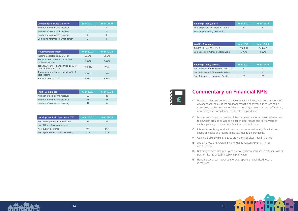| <b>Complaints (Service Delivery)</b> | <b>Year 20/21</b> | <b>Year 19/20</b> |
|--------------------------------------|-------------------|-------------------|
| Number of complaints received        |                   |                   |
| Number of complaints resolved        |                   |                   |
| Number of complaints ongoing         |                   |                   |
| Complains referred to Ombudsman      |                   |                   |

| <b>Housing Management</b>                                      | <b>Year 20/21</b> | <b>Year 19/20</b> |
|----------------------------------------------------------------|-------------------|-------------------|
| Income Collected (incl. O/S HB)                                | 99.0%             | 99.7%             |
| Tenant Arrears – Technical as % of<br>technical income         | 4.86%             | 4.90%             |
| Tenant Arrears - Non-technical as % of<br>non-technical income | 12.05%            | 7.3%              |
| Tenant Arrears- Non-technical as % of<br>total income          | 2.75%             | 1.9%              |
| <b>Tenant Arrears - Total</b>                                  | 6.48%             | 5.54%             |

| (ASB - Complaints)            | <b>Year 20/21</b> | <b>Year 19/20</b> |
|-------------------------------|-------------------|-------------------|
| Number of complaints received | 52                | 45                |
| Number of complaints resolved | 41                | 45                |
| Number of complaints ongoing  | 11                |                   |

| <b>Housing Stock - Properties at Y/E:</b> | <b>Year 20/21</b> | Year 19/20 |
|-------------------------------------------|-------------------|------------|
| No. of new properties developed           |                   | 19         |
| No. of House Sales completed              |                   |            |
| New supply delivered                      | $0\%$             | 2.6%       |
| No. of properties in NHA ownership        | 722               | 723        |

**Housing Stock (Voids):** 

Void properties available for let Void prop. awaiting COT works

#### **Yoid Performance**

Total Void Loss (Year End) Void Loss as a % Income Receiv

#### **Housing Stock (Lettings)**

No. of G/Needs & Sheltered - New No. of G/Needs & Sheltered - Re No. of Supported Housing - Rele

### **Commentary on Financial KPIs**

(1) Management costs per unit exclude community investment costs and one-off or exceptional costs. These are lower than the prior year due to less admin costs being recharged due to delay in spending in areas such as staff training, advertising and consultancy fees due to the pandemic.

(2) Maintenance costs per unit are higher this year due to increased salaries due to new post created as well as higher cyclical repairs due to two years of cyclical painting costs and significant pest control costs.

- 
- 
- (3) Interest cover is higher due to reasons above as well as significantly lower spend on capitalised repairs in the year due to the pandemic.
- (4) Gearing is slightly higher due to draw down of £1.2m loan in the year.
- (5) and (7) Gross and ROCE are higher due to reasons given in (1), (2) and (3) above.
- pension liability of £284k (£66k in prior year).
- in the year.



|      | <b>Year 20/21</b> | <b>Year 19/20</b> |
|------|-------------------|-------------------|
| ting |                   |                   |
|      |                   |                   |

|       | <b>Year 20/21</b> | <b>Year 19/20</b> |
|-------|-------------------|-------------------|
|       | £30.064           | £43.613           |
| vable | 0.73%             | 1.07%             |

|         | <b>Year 20/21</b> | <b>Year 19/20</b> |
|---------|-------------------|-------------------|
| ew-Lets | 0                 | 19                |
| elets   | 25                | 24                |
| ets     | 20                | 26                |

(6) Net margin lower than prior year due to significant increase in actuarial loss on

(8) Headline social cost lower due to lower spend on capitalised repairs